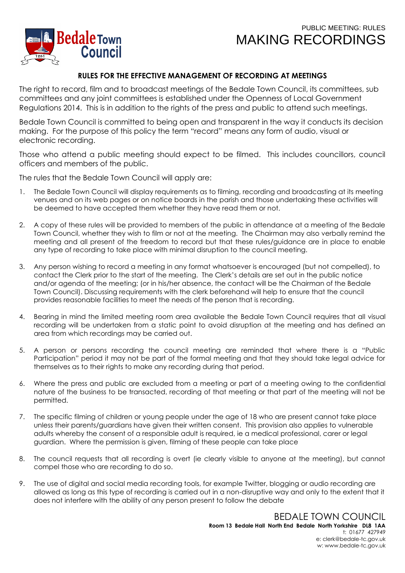## PUBLIC MEETING: RULES MAKING RECORDINGS



## **RULES FOR THE EFFECTIVE MANAGEMENT OF RECORDING AT MEETINGS**

The right to record, film and to broadcast meetings of the Bedale Town Council, its committees, sub committees and any joint committees is established under the Openness of Local Government Regulations 2014. This is in addition to the rights of the press and public to attend such meetings.

Bedale Town Council is committed to being open and transparent in the way it conducts its decision making. For the purpose of this policy the term "record" means any form of audio, visual or electronic recording.

Those who attend a public meeting should expect to be filmed. This includes councillors, council officers and members of the public.

The rules that the Bedale Town Council will apply are:

- 1. The Bedale Town Council will display requirements as to filming, recording and broadcasting at its meeting venues and on its web pages or on notice boards in the parish and those undertaking these activities will be deemed to have accepted them whether they have read them or not.
- 2. A copy of these rules will be provided to members of the public in attendance at a meeting of the Bedale Town Council, whether they wish to film or not at the meeting. The Chairman may also verbally remind the meeting and all present of the freedom to record but that these rules/guidance are in place to enable any type of recording to take place with minimal disruption to the council meeting.
- 3. Any person wishing to record a meeting in any format whatsoever is encouraged (but not compelled), to contact the Clerk prior to the start of the meeting. The Clerk's details are set out in the public notice and/or agenda of the meeting; (or in his/her absence, the contact will be the Chairman of the Bedale Town Council). Discussing requirements with the clerk beforehand will help to ensure that the council provides reasonable facilities to meet the needs of the person that is recording.
- 4. Bearing in mind the limited meeting room area available the Bedale Town Council requires that all visual recording will be undertaken from a static point to avoid disruption at the meeting and has defined an area from which recordings may be carried out.
- 5. A person or persons recording the council meeting are reminded that where there is a "Public Participation" period it may not be part of the formal meeting and that they should take legal advice for themselves as to their rights to make any recording during that period.
- 6. Where the press and public are excluded from a meeting or part of a meeting owing to the confidential nature of the business to be transacted, recording of that meeting or that part of the meeting will not be permitted.
- 7. The specific filming of children or young people under the age of 18 who are present cannot take place unless their parents/guardians have given their written consent. This provision also applies to vulnerable adults whereby the consent of a responsible adult is required, ie a medical professional, carer or legal guardian. Where the permission is given, filming of these people can take place
- 8. The council requests that all recording is overt (ie clearly visible to anyone at the meeting), but cannot compel those who are recording to do so.
- 9. The use of digital and social media recording tools, for example Twitter, blogging or audio recording are allowed as long as this type of recording is carried out in a non-disruptive way and only to the extent that it does not interfere with the ability of any person present to follow the debate